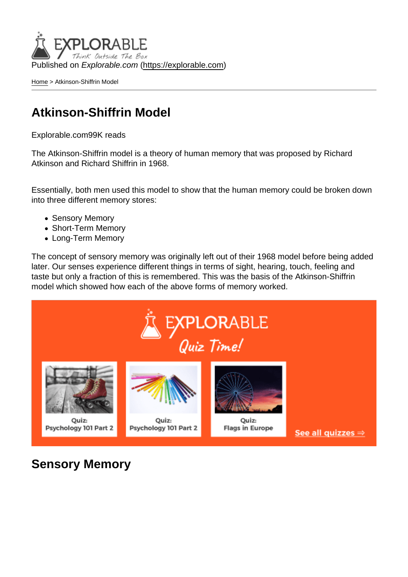Published on Explorable.com (<https://explorable.com>)

[Home](https://explorable.com/) > Atkinson-Shiffrin Model

## Atkinson-Shiffrin Model

Explorable.com99K reads

The Atkinson-Shiffrin model is a theory of human memory that was proposed by Richard Atkinson and Richard Shiffrin in 1968.

Essentially, both men used this model to show that the human memory could be broken down into three different memory stores:

- Sensory Memory
- Short-Term Memory
- Long-Term Memory

The concept of sensory memory was originally left out of their 1968 model before being added later. Our senses experience different things in terms of sight, hearing, touch, feeling and taste but only a fraction of this is remembered. This was the basis of the Atkinson-Shiffrin model which showed how each of the above forms of memory worked.

Sensory Memory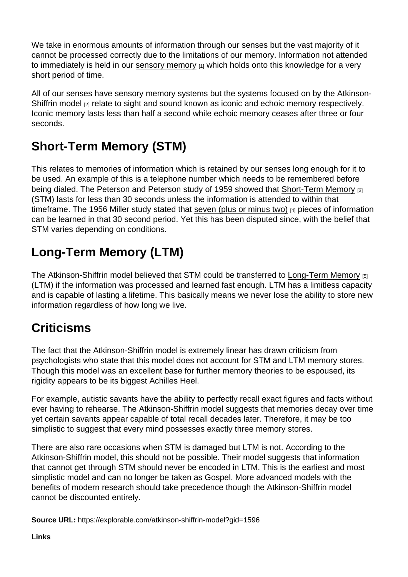We take in enormous amounts of information through our senses but the vast majority of it cannot be processed correctly due to the limitations of our memory. Information not attended to immediately is held in our [sensory memory](https://explorable.com/sensory-memory)  $[1]$  which holds onto this knowledge for a very short period of time.

All of our senses have sensory memory systems but the systems focused on by the [Atkinson-](http://users.ipfw.edu/abbott/120/AtkinsonShifrin)[Shiffrin model](http://users.ipfw.edu/abbott/120/AtkinsonShifrin) [2] relate to sight and sound known as iconic and echoic memory respectively. Iconic memory lasts less than half a second while echoic memory ceases after three or four seconds.

## Short-Term Memory (STM)

This relates to memories of information which is retained by our senses long enough for it to be used. An example of this is a telephone number which needs to be remembered before being dialed. The Peterson and Peterson study of 1959 showed that [Short-Term Memory](https://explorable.com/short-term-memory) [3] (STM) lasts for less than 30 seconds unless the information is attended to within that timeframe. The 1956 Miller study stated that [seven \(plus or minus two\)](http://www.musanim.com/miller1956/) [4] pieces of information can be learned in that 30 second period. Yet this has been disputed since, with the belief that STM varies depending on conditions.

## Long-Term Memory (LTM)

The Atkinson-Shiffrin model believed that STM could be transferred to [Long-Term Memory](https://explorable.com/long-term-memory) [5] (LTM) if the information was processed and learned fast enough. LTM has a limitless capacity and is capable of lasting a lifetime. This basically means we never lose the ability to store new information regardless of how long we live.

## **Criticisms**

The fact that the Atkinson-Shiffrin model is extremely linear has drawn criticism from psychologists who state that this model does not account for STM and LTM memory stores. Though this model was an excellent base for further memory theories to be espoused, its rigidity appears to be its biggest Achilles Heel.

For example, autistic savants have the ability to perfectly recall exact figures and facts without ever having to rehearse. The Atkinson-Shiffrin model suggests that memories decay over time yet certain savants appear capable of total recall decades later. Therefore, it may be too simplistic to suggest that every mind possesses exactly three memory stores.

There are also rare occasions when STM is damaged but LTM is not. According to the Atkinson-Shiffrin model, this should not be possible. Their model suggests that information that cannot get through STM should never be encoded in LTM. This is the earliest and most simplistic model and can no longer be taken as Gospel. More advanced models with the benefits of modern research should take precedence though the Atkinson-Shiffrin model cannot be discounted entirely.

Source URL: https://explorable.com/atkinson-shiffrin-model?gid=1596